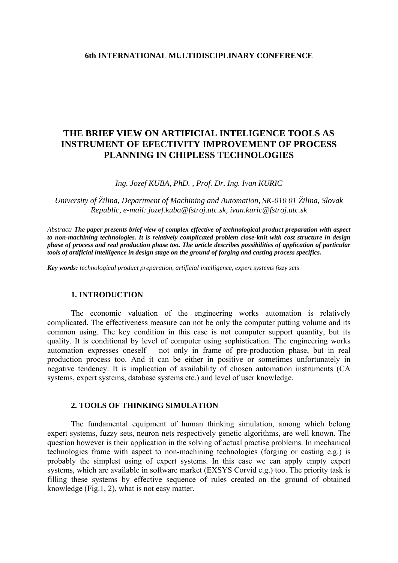### **6th INTERNATIONAL MULTIDISCIPLINARY CONFERENCE**

# **THE BRIEF VIEW ON ARTIFICIAL INTELIGENCE TOOLS AS INSTRUMENT OF EFECTIVITY IMPROVEMENT OF PROCESS PLANNING IN CHIPLESS TECHNOLOGIES**

*Ing. Jozef KUBA, PhD. , Prof. Dr. Ing. Ivan KURIC* 

*University of Žilina, Department of Machining and Automation, SK-010 01 Žilina, Slovak Republic, e-mail: [jozef.kuba@fstroj.utc.sk](mailto:jozef.kuba@fstroj.utc.sk), ivan.kuric@fstroj.utc.sk* 

*Abstract: The paper presents brief view of complex effective of technological product preparation with aspect to non-machining technologies. It is relatively complicated problem close-knit with cost structure in design phase of process and real production phase too. The article describes possibilities of application of particular tools of artificial intelligence in design stage on the ground of forging and casting process specifics.* 

*Key words: technological product preparation, artificial intelligence, expert systems fizzy sets*

#### **1. INTRODUCTION**

The economic valuation of the engineering works automation is relatively complicated. The effectiveness measure can not be only the computer putting volume and its common using. The key condition in this case is not computer support quantity, but its quality. It is conditional by level of computer using sophistication. The engineering works automation expresses oneself not only in frame of pre-production phase, but in real production process too. And it can be either in positive or sometimes unfortunately in negative tendency. It is implication of availability of chosen automation instruments (CA systems, expert systems, database systems etc.) and level of user knowledge.

#### **2. TOOLS OF THINKING SIMULATION**

The fundamental equipment of human thinking simulation, among which belong expert systems, fuzzy sets, neuron nets respectively genetic algorithms, are well known. The question however is their application in the solving of actual practise problems. In mechanical technologies frame with aspect to non-machining technologies (forging or casting e.g.) is probably the simplest using of expert systems. In this case we can apply empty expert systems, which are available in software market (EXSYS Corvid e.g.) too. The priority task is filling these systems by effective sequence of rules created on the ground of obtained knowledge (Fig.1, 2), what is not easy matter.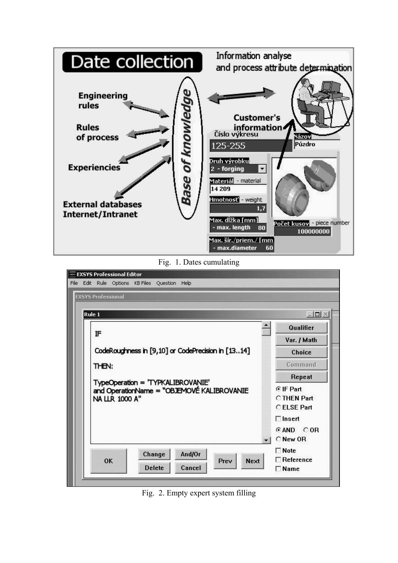

Fig. 1. Dates cumulating

| File | EXSYS Professional Editor<br>Edit Rule Options KB Files Question Help<br><b>EXSYS Professional</b>                                                                                      |                                                                                                               |
|------|-----------------------------------------------------------------------------------------------------------------------------------------------------------------------------------------|---------------------------------------------------------------------------------------------------------------|
|      | Rule 1<br>IF<br>CodeRoughness in [9,10] or CodePrecision in [1314]<br>THEN:<br>TypeOperation = 'TYPKALIBROVANIE'<br>and OperationName = "OBJEMOVÉ KALIBROVANIE<br><b>NA LLR 1000 A"</b> | $ \Box$ $\times$<br>Qualifier<br>Var. / Math<br>Choice<br>Command<br>Repeat<br>⊙ IF Part<br><b>CTHEN Part</b> |
|      | And/Or<br>Change<br>OK<br>Next<br>Prev<br><b>Delete</b><br>Cancel                                                                                                                       | C FI SF Part<br>$\Box$ Insert<br>GAND COR<br>C New OR<br>$\Box$ Note<br>$\Box$ Reference<br>$\sqcap$ Name     |

Fig. 2. Empty expert system filling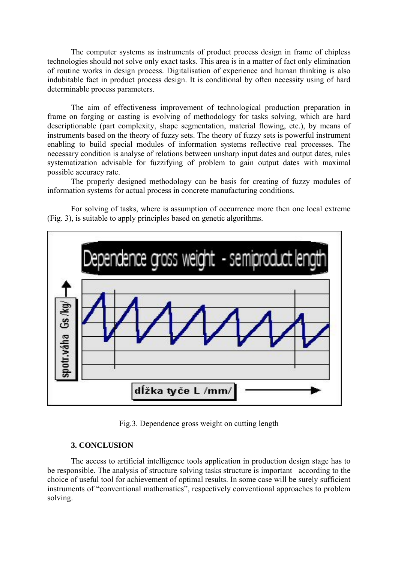The computer systems as instruments of product process design in frame of chipless technologies should not solve only exact tasks. This area is in a matter of fact only elimination of routine works in design process. Digitalisation of experience and human thinking is also indubitable fact in product process design. It is conditional by often necessity using of hard determinable process parameters.

The aim of effectiveness improvement of technological production preparation in frame on forging or casting is evolving of methodology for tasks solving, which are hard descriptionable (part complexity, shape segmentation, material flowing, etc.), by means of instruments based on the theory of fuzzy sets. The theory of fuzzy sets is powerful instrument enabling to build special modules of information systems reflective real processes. The necessary condition is analyse of relations between unsharp input dates and output dates, rules systematization advisable for fuzzifying of problem to gain output dates with maximal possible accuracy rate.

The properly designed methodology can be basis for creating of fuzzy modules of information systems for actual process in concrete manufacturing conditions.

For solving of tasks, where is assumption of occurrence more then one local extreme (Fig. 3), is suitable to apply principles based on genetic algorithms.



Fig.3. Dependence gross weight on cutting length

# **3. CONCLUSION**

The access to artificial intelligence tools application in production design stage has to be responsible. The analysis of structure solving tasks structure is important according to the choice of useful tool for achievement of optimal results. In some case will be surely sufficient instruments of "conventional mathematics", respectively conventional approaches to problem solving.